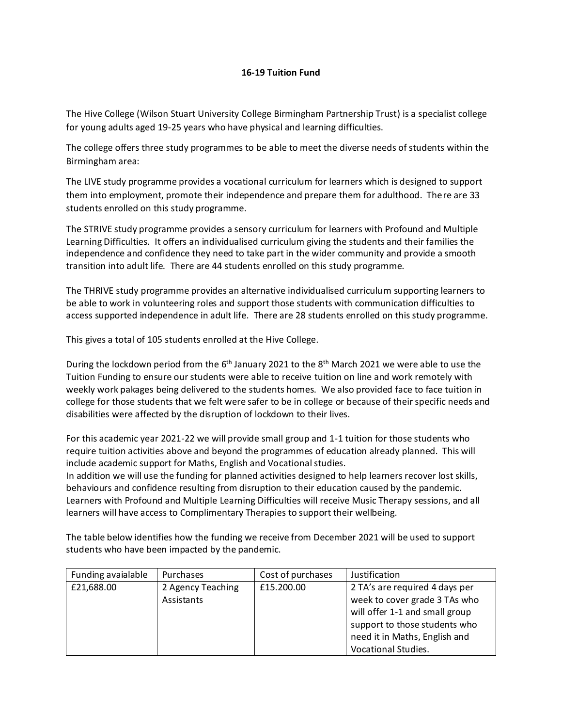## **16-19 Tuition Fund**

The Hive College (Wilson Stuart University College Birmingham Partnership Trust) is a specialist college for young adults aged 19-25 years who have physical and learning difficulties.

The college offers three study programmes to be able to meet the diverse needs of students within the Birmingham area:

The LIVE study programme provides a vocational curriculum for learners which is designed to support them into employment, promote their independence and prepare them for adulthood. There are 33 students enrolled on this study programme.

The STRIVE study programme provides a sensory curriculum for learners with Profound and Multiple Learning Difficulties. It offers an individualised curriculum giving the students and their families the independence and confidence they need to take part in the wider community and provide a smooth transition into adult life. There are 44 students enrolled on this study programme.

The THRIVE study programme provides an alternative individualised curriculum supporting learners to be able to work in volunteering roles and support those students with communication difficulties to access supported independence in adult life. There are 28 students enrolled on this study programme.

This gives a total of 105 students enrolled at the Hive College.

During the lockdown period from the 6<sup>th</sup> January 2021 to the 8<sup>th</sup> March 2021 we were able to use the Tuition Funding to ensure our students were able to receive tuition on line and work remotely with weekly work pakages being delivered to the students homes. We also provided face to face tuition in college for those students that we felt were safer to be in college or because of their specific needs and disabilities were affected by the disruption of lockdown to their lives.

For this academic year 2021-22 we will provide small group and 1-1 tuition for those students who require tuition activities above and beyond the programmes of education already planned. This will include academic support for Maths, English and Vocational studies.

In addition we will use the funding for planned activities designed to help learners recover lost skills, behaviours and confidence resulting from disruption to their education caused by the pandemic. Learners with Profound and Multiple Learning Difficulties will receive Music Therapy sessions, and all learners will have access to Complimentary Therapies to support their wellbeing.

The table below identifies how the funding we receive from December 2021 will be used to support students who have been impacted by the pandemic.

| Funding avaialable | Purchases         | Cost of purchases | Justification                  |
|--------------------|-------------------|-------------------|--------------------------------|
| £21,688.00         | 2 Agency Teaching | £15.200.00        | 2 TA's are required 4 days per |
|                    | Assistants        |                   | week to cover grade 3 TAs who  |
|                    |                   |                   | will offer 1-1 and small group |
|                    |                   |                   | support to those students who  |
|                    |                   |                   | need it in Maths, English and  |
|                    |                   |                   | Vocational Studies.            |